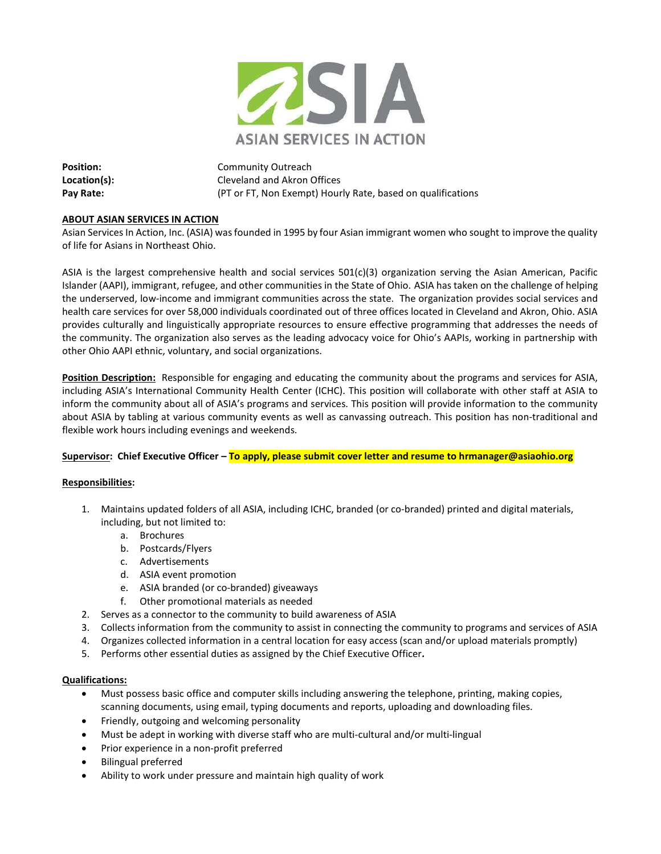

Position: Community Outreach Location(s): Cleveland and Akron Offices Pay Rate: (PT or FT, Non Exempt) Hourly Rate, based on qualifications

# ABOUT ASIAN SERVICES IN ACTION

Asian Services In Action, Inc. (ASIA) was founded in 1995 by four Asian immigrant women who sought to improve the quality of life for Asians in Northeast Ohio.

ASIA is the largest comprehensive health and social services 501(c)(3) organization serving the Asian American, Pacific Islander (AAPI), immigrant, refugee, and other communities in the State of Ohio. ASIA has taken on the challenge of helping the underserved, low-income and immigrant communities across the state. The organization provides social services and health care services for over 58,000 individuals coordinated out of three offices located in Cleveland and Akron, Ohio. ASIA provides culturally and linguistically appropriate resources to ensure effective programming that addresses the needs of the community. The organization also serves as the leading advocacy voice for Ohio's AAPIs, working in partnership with other Ohio AAPI ethnic, voluntary, and social organizations.

Position Description: Responsible for engaging and educating the community about the programs and services for ASIA, including ASIA's International Community Health Center (ICHC). This position will collaborate with other staff at ASIA to inform the community about all of ASIA's programs and services. This position will provide information to the community about ASIA by tabling at various community events as well as canvassing outreach. This position has non-traditional and flexible work hours including evenings and weekends.

## Supervisor: Chief Executive Officer – To apply, please submit cover letter and resume to hrmanager@asiaohio.org

## Responsibilities:

- 1. Maintains updated folders of all ASIA, including ICHC, branded (or co-branded) printed and digital materials, including, but not limited to:
	- a. Brochures
	- b. Postcards/Flyers
	- c. Advertisements
	- d. ASIA event promotion
	- e. ASIA branded (or co-branded) giveaways
	- f. Other promotional materials as needed
- 2. Serves as a connector to the community to build awareness of ASIA
- 3. Collects information from the community to assist in connecting the community to programs and services of ASIA
- 4. Organizes collected information in a central location for easy access (scan and/or upload materials promptly)
- 5. Performs other essential duties as assigned by the Chief Executive Officer.

## Qualifications:

- Must possess basic office and computer skills including answering the telephone, printing, making copies, scanning documents, using email, typing documents and reports, uploading and downloading files.
- Friendly, outgoing and welcoming personality
- Must be adept in working with diverse staff who are multi-cultural and/or multi-lingual
- Prior experience in a non-profit preferred
- Bilingual preferred
- Ability to work under pressure and maintain high quality of work